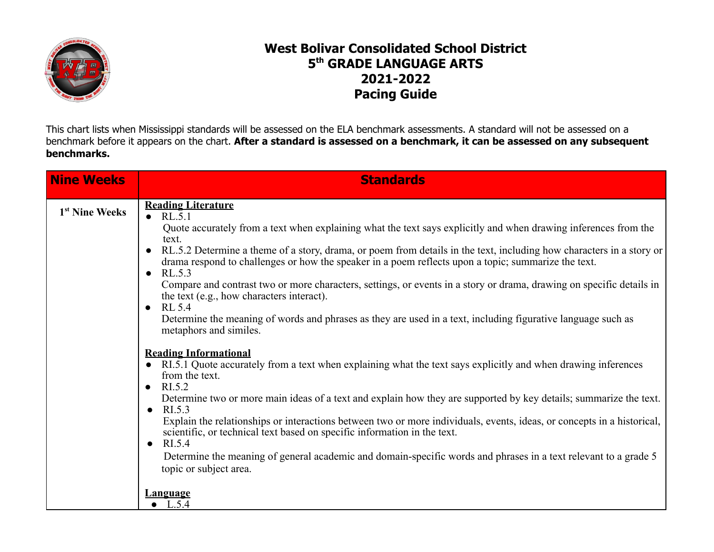

## **West Bolivar Consolidated School District 5 th GRADE LANGUAGE ARTS 2021-2022 Pacing Guide**

This chart lists when Mississippi standards will be assessed on the ELA benchmark assessments. A standard will not be assessed on a benchmark before it appears on the chart. After a standard is assessed on a benchmark, it can be assessed on any subsequent **benchmarks.**

| <b>Nine Weeks</b>          | <b>Standards</b>                                                                                                                                                                                                                                                                                                                                                                                                                                                                                                                                                                                                                                                                                                                                                             |
|----------------------------|------------------------------------------------------------------------------------------------------------------------------------------------------------------------------------------------------------------------------------------------------------------------------------------------------------------------------------------------------------------------------------------------------------------------------------------------------------------------------------------------------------------------------------------------------------------------------------------------------------------------------------------------------------------------------------------------------------------------------------------------------------------------------|
| 1 <sup>st</sup> Nine Weeks | <b>Reading Literature</b><br>$\bullet$ RL.5.1<br>Quote accurately from a text when explaining what the text says explicitly and when drawing inferences from the<br>text.<br>RL.5.2 Determine a theme of a story, drama, or poem from details in the text, including how characters in a story or<br>$\bullet$<br>drama respond to challenges or how the speaker in a poem reflects upon a topic; summarize the text.<br>$\bullet$ RL.5.3<br>Compare and contrast two or more characters, settings, or events in a story or drama, drawing on specific details in<br>the text (e.g., how characters interact).<br>$\bullet$ RL 5.4<br>Determine the meaning of words and phrases as they are used in a text, including figurative language such as<br>metaphors and similes. |
|                            | <b>Reading Informational</b><br>• RI.5.1 Quote accurately from a text when explaining what the text says explicitly and when drawing inferences<br>from the text.<br>$\bullet$ RI.5.2<br>Determine two or more main ideas of a text and explain how they are supported by key details; summarize the text.<br>$\bullet$ RI.5.3<br>Explain the relationships or interactions between two or more individuals, events, ideas, or concepts in a historical,<br>scientific, or technical text based on specific information in the text.<br>$\bullet$ RI.5.4<br>Determine the meaning of general academic and domain-specific words and phrases in a text relevant to a grade 5<br>topic or subject area.<br><b>Language</b><br>$\bullet$ L.5.4                                  |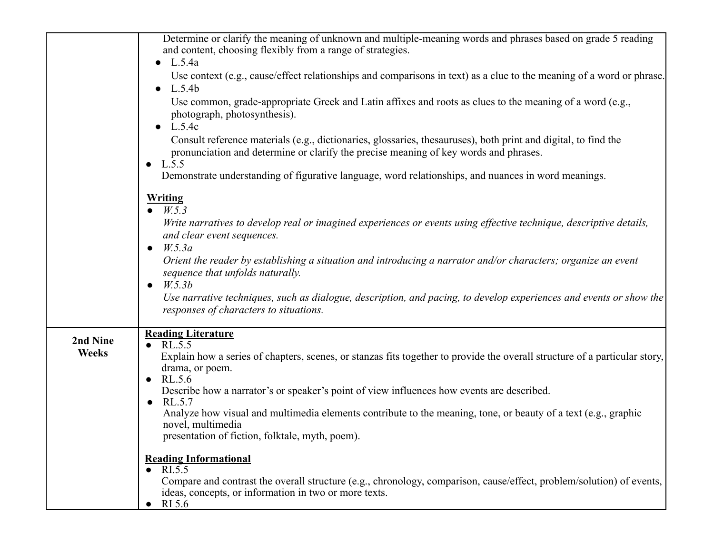|                          | Determine or clarify the meaning of unknown and multiple-meaning words and phrases based on grade 5 reading<br>and content, choosing flexibly from a range of strategies.<br>$\bullet$ L.5.4a<br>Use context (e.g., cause/effect relationships and comparisons in text) as a clue to the meaning of a word or phrase.<br>$\bullet$ L.5.4b<br>Use common, grade-appropriate Greek and Latin affixes and roots as clues to the meaning of a word (e.g.,<br>photograph, photosynthesis).<br>$\bullet$ L.5.4c<br>Consult reference materials (e.g., dictionaries, glossaries, thesauruses), both print and digital, to find the<br>pronunciation and determine or clarify the precise meaning of key words and phrases.<br>• $L.5.5$<br>Demonstrate understanding of figurative language, word relationships, and nuances in word meanings.<br><b>Writing</b><br>• $W.5.3$<br>Write narratives to develop real or imagined experiences or events using effective technique, descriptive details,<br>and clear event sequences.<br>$\bullet$ W.5.3a<br>Orient the reader by establishing a situation and introducing a narrator and/or characters; organize an event<br>sequence that unfolds naturally.<br>W.5.3b<br>$\bullet$<br>Use narrative techniques, such as dialogue, description, and pacing, to develop experiences and events or show the |
|--------------------------|--------------------------------------------------------------------------------------------------------------------------------------------------------------------------------------------------------------------------------------------------------------------------------------------------------------------------------------------------------------------------------------------------------------------------------------------------------------------------------------------------------------------------------------------------------------------------------------------------------------------------------------------------------------------------------------------------------------------------------------------------------------------------------------------------------------------------------------------------------------------------------------------------------------------------------------------------------------------------------------------------------------------------------------------------------------------------------------------------------------------------------------------------------------------------------------------------------------------------------------------------------------------------------------------------------------------------------------------------|
| 2nd Nine<br><b>Weeks</b> | responses of characters to situations.<br><b>Reading Literature</b><br>$\bullet$ RL.5.5<br>Explain how a series of chapters, scenes, or stanzas fits together to provide the overall structure of a particular story,<br>drama, or poem.<br>$\bullet$ RL.5.6<br>Describe how a narrator's or speaker's point of view influences how events are described.<br>$\bullet$ RL.5.7<br>Analyze how visual and multimedia elements contribute to the meaning, tone, or beauty of a text (e.g., graphic<br>novel, multimedia<br>presentation of fiction, folktale, myth, poem).<br><b>Reading Informational</b><br>RI.5.5<br>Compare and contrast the overall structure (e.g., chronology, comparison, cause/effect, problem/solution) of events,<br>ideas, concepts, or information in two or more texts.                                                                                                                                                                                                                                                                                                                                                                                                                                                                                                                                               |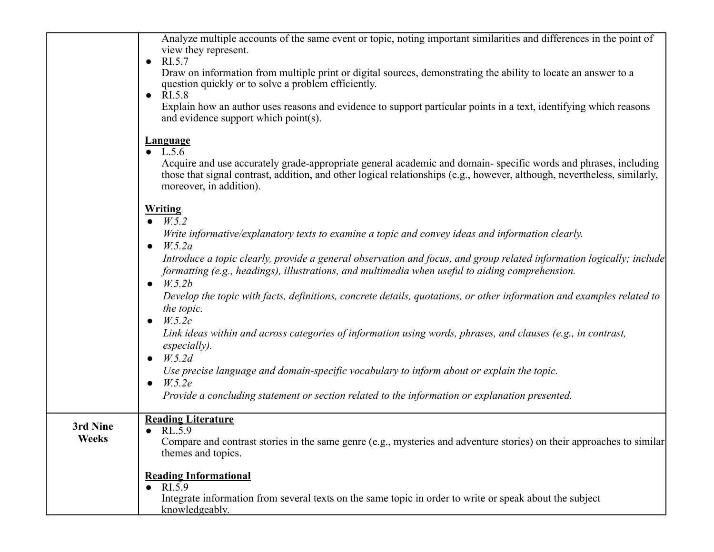|                          | Analyze multiple accounts of the same event or topic, noting important similarities and differences in the point of<br>view they represent.<br>RI.5.7<br>Draw on information from multiple print or digital sources, demonstrating the ability to locate an answer to a<br>question quickly or to solve a problem efficiently.<br>$\bullet$ RI.5.8<br>Explain how an author uses reasons and evidence to support particular points in a text, identifying which reasons<br>and evidence support which point(s).                                                                                                                                                                                                                                                                                                                                                                                                                                |
|--------------------------|------------------------------------------------------------------------------------------------------------------------------------------------------------------------------------------------------------------------------------------------------------------------------------------------------------------------------------------------------------------------------------------------------------------------------------------------------------------------------------------------------------------------------------------------------------------------------------------------------------------------------------------------------------------------------------------------------------------------------------------------------------------------------------------------------------------------------------------------------------------------------------------------------------------------------------------------|
|                          | <b>Language</b><br>• $L.5.6$<br>Acquire and use accurately grade-appropriate general academic and domain-specific words and phrases, including<br>those that signal contrast, addition, and other logical relationships (e.g., however, although, nevertheless, similarly,<br>moreover, in addition).                                                                                                                                                                                                                                                                                                                                                                                                                                                                                                                                                                                                                                          |
|                          | <b>Writing</b><br>$\bullet$ $W.5.2$<br>Write informative/explanatory texts to examine a topic and convey ideas and information clearly.<br>W.5.2a<br>$\bullet$<br>Introduce a topic clearly, provide a general observation and focus, and group related information logically; include<br>formatting (e.g., headings), illustrations, and multimedia when useful to aiding comprehension.<br>W.5.2b<br>Develop the topic with facts, definitions, concrete details, quotations, or other information and examples related to<br>the topic.<br>$\bullet$ $W.5.2c$<br>Link ideas within and across categories of information using words, phrases, and clauses (e.g., in contrast,<br>especially).<br>$\bullet$ W.5.2d<br>Use precise language and domain-specific vocabulary to inform about or explain the topic.<br>$\bullet$ <i>W.5.2e</i><br>Provide a concluding statement or section related to the information or explanation presented. |
| 3rd Nine<br><b>Weeks</b> | <b>Reading Literature</b><br>RL.5.9<br>Compare and contrast stories in the same genre (e.g., mysteries and adventure stories) on their approaches to similar<br>themes and topics.                                                                                                                                                                                                                                                                                                                                                                                                                                                                                                                                                                                                                                                                                                                                                             |
|                          | <b>Reading Informational</b><br>RI.5.9<br>Integrate information from several texts on the same topic in order to write or speak about the subject<br>knowledgeably.                                                                                                                                                                                                                                                                                                                                                                                                                                                                                                                                                                                                                                                                                                                                                                            |